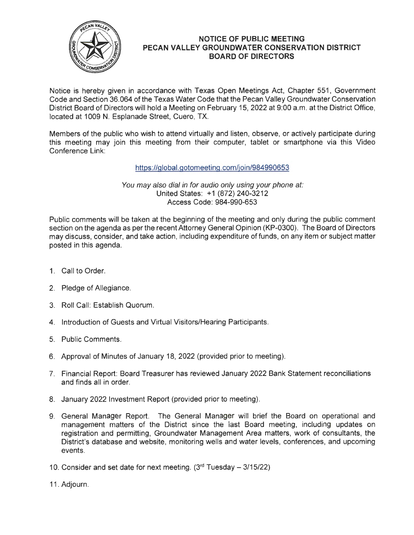

## **NOTICE OF PUBLIC MEETING PECAN VALLEY GROUNDWATER CONSERVATION DISTRICT BOARD OF DIRECTORS**

Notice is hereby given in accordance with Texas Open Meetings Act, Chapter 551 , Government Code and Section 36.064 of the Texas Water Code that the Pecan Valley Groundwater Conservation District Board of Directors will hold a Meeting on February 15, 2022 at 9:00 a.m. at the District Office, located at 1009 N. Esplanade Street, Cuero, TX.

Members of the public who wish to attend virtually and listen, observe, or actively participate during this meeting may join this meeting from their computer, tablet or smartphone via this Video Conference Link:

https://global.gotomeeting.com/join/984990653

You may also dial in for audio only using your phone at: United States: +1 (872) 240-3212 Access Code: 984-990-653 I

Public comments will be taken at the beginning of the meeting and only during the public comment section on the agenda as per the recent Attorney General Opinion (KP-0300). The Board of Directors may discuss, consider, and take action, including expenditure of funds, on any item or subject matter posted in this agenda.

- 1. Call to Order.
- 2. Pledge of Allegiance.
- 3. Roll Call: Establish Quorum.
- 4. Introduction of Guests and Virtual Visitors/Hearing Participants.
- 5. Public Comments.
- 6. Approval of Minutes of January 18, 2022 (provided prior to meeting).
- 7. Financial Report: Board Treasurer has reviewed January 2022 Bank Statement reconciliations and finds all in order.
- 8. January 2022 Investment Report (provided prior to meeting).
- 9. General Manager Report. The General Manager will brief the Board on operational and management matters of the District since the last Board meeting, including updates on registration and permitting, Groundwater Management Area matters, work of consultants, the District's database and website, monitoring wells and water levels, conferences, and upcoming events.
- 10. Consider and set date for next meeting.  $(3<sup>rd</sup> Tuesday  $3/15/22)$ )$
- 11 . Adjourn.